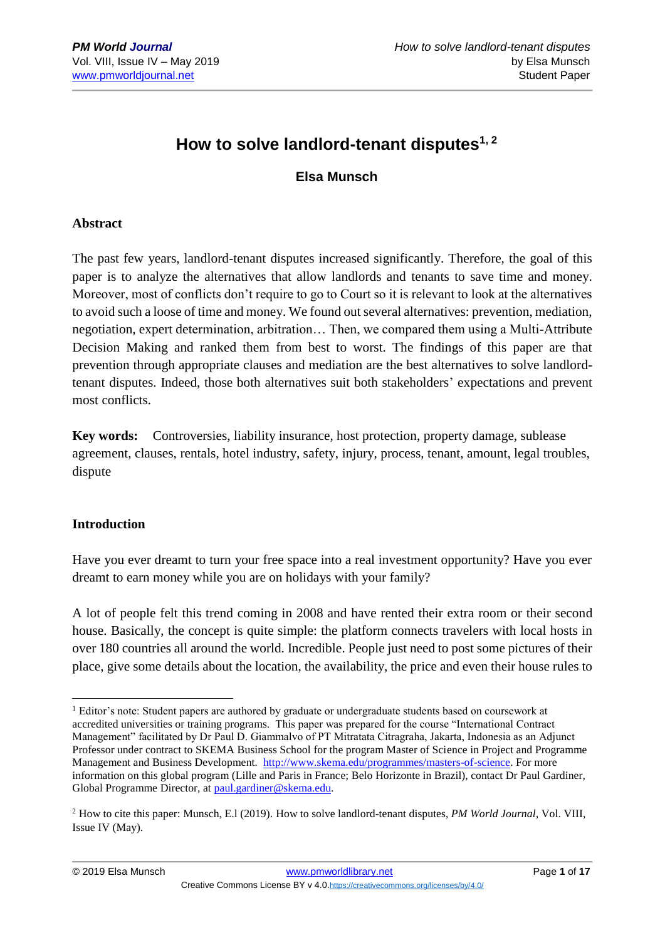# **How to solve landlord-tenant disputes1, 2**

## **Elsa Munsch**

#### **Abstract**

The past few years, landlord-tenant disputes increased significantly. Therefore, the goal of this paper is to analyze the alternatives that allow landlords and tenants to save time and money. Moreover, most of conflicts don't require to go to Court so it is relevant to look at the alternatives to avoid such a loose of time and money. We found out several alternatives: prevention, mediation, negotiation, expert determination, arbitration… Then, we compared them using a Multi-Attribute Decision Making and ranked them from best to worst. The findings of this paper are that prevention through appropriate clauses and mediation are the best alternatives to solve landlordtenant disputes. Indeed, those both alternatives suit both stakeholders' expectations and prevent most conflicts.

**Key words:** Controversies, liability insurance, host protection, property damage, sublease agreement, clauses, rentals, hotel industry, safety, injury, process, tenant, amount, legal troubles, dispute

#### **Introduction**

Have you ever dreamt to turn your free space into a real investment opportunity? Have you ever dreamt to earn money while you are on holidays with your family?

A lot of people felt this trend coming in 2008 and have rented their extra room or their second house. Basically, the concept is quite simple: the platform connects travelers with local hosts in over 180 countries all around the world. Incredible. People just need to post some pictures of their place, give some details about the location, the availability, the price and even their house rules to

<sup>1</sup> <sup>1</sup> Editor's note: Student papers are authored by graduate or undergraduate students based on coursework at accredited universities or training programs. This paper was prepared for the course "International Contract Management" facilitated by Dr Paul D. Giammalvo of PT Mitratata Citragraha, Jakarta, Indonesia as an Adjunct Professor under contract to SKEMA Business School for the program Master of Science in Project and Programme Management and Business Development. [http://www.skema.edu/programmes/masters-of-science.](http://www.skema.edu/programmes/masters-of-science) For more information on this global program (Lille and Paris in France; Belo Horizonte in Brazil), contact Dr Paul Gardiner, Global Programme Director, a[t paul.gardiner@skema.edu.](mailto:paul.gardiner@skema.edu)

<sup>2</sup> How to cite this paper: Munsch, E.l (2019). How to solve landlord-tenant disputes, *PM World Journal*, Vol. VIII, Issue IV (May).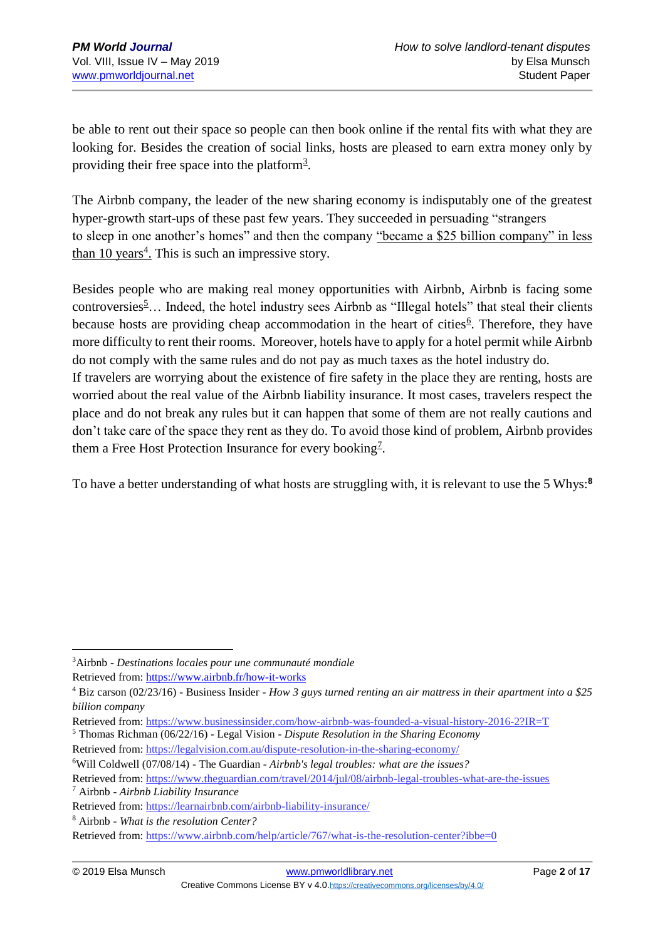be able to rent out their space so people can then book online if the rental fits with what they are looking for. Besides the creation of social links, hosts are pleased to earn extra money only by providing their free space into the platform<sup>[3](https://www.airbnb.fr/how-it-works)</sup>.

The Airbnb company, the leader of the new sharing economy is indisputably one of the greatest hyper-growth start-ups of these past few years. They succeeded in persuading "strangers to sleep in one another's homes" and then the company ["became a \\$25 billion company" in less](https://www.businessinsider.com/how-airbnb-was-founded-a-visual-history-2016-2?IR=T)  [than 10 years](https://www.businessinsider.com/how-airbnb-was-founded-a-visual-history-2016-2?IR=T)<sup>4</sup>. This is such an impressive story.

Besides people who are making real money opportunities with Airbnb, Airbnb is facing some controversies<sup>[5](https://legalvision.com.au/dispute-resolution-in-the-sharing-economy/)</sup>... Indeed, the hotel industry sees Airbnb as "Illegal hotels" that steal their clients because hosts are providing cheap accommodation in the heart of cities<sup>[6](https://www.theguardian.com/travel/2014/jul/08/airbnb-legal-troubles-what-are-the-issues)</sup>. Therefore, they have more difficulty to rent their rooms. Moreover, hotels have to apply for a hotel permit while Airbnb do not comply with the same rules and do not pay as much taxes as the hotel industry do. If travelers are worrying about the existence of fire safety in the place they are renting, hosts are worried about the real value of the Airbnb liability insurance. It most cases, travelers respect the place and do not break any rules but it can happen that some of them are not really cautions and don't take care of the space they rent as they do. To avoid those kind of problem, Airbnb provides

To have a better understanding of what hosts are struggling with, it is relevant to use the 5 Whys:**<sup>8</sup>**

them a Free Host Protection Insurance for every booking<sup>[7](https://learnairbnb.com/airbnb-liability-insurance/)</sup>.

*billion company*

Retrieved from:<https://www.theguardian.com/travel/2014/jul/08/airbnb-legal-troubles-what-are-the-issues> <sup>7</sup> Airbnb - *Airbnb Liability Insurance*

<sup>&</sup>lt;u>.</u> <sup>3</sup>Airbnb - *Destinations locales pour une communauté mondiale* Retrieved from:<https://www.airbnb.fr/how-it-works>

<sup>4</sup> Biz carson (02/23/16) - Business Insider - *How 3 guys turned renting an air mattress in their apartment into a \$25* 

Retrieved from:<https://www.businessinsider.com/how-airbnb-was-founded-a-visual-history-2016-2?IR=T>

<sup>5</sup> Thomas Richman (06/22/16) - Legal Vision - *Dispute Resolution in the Sharing Economy* Retrieved from:<https://legalvision.com.au/dispute-resolution-in-the-sharing-economy/>

<sup>6</sup>Will Coldwell (07/08/14) - The Guardian - *Airbnb's legal troubles: what are the issues?*

Retrieved from:<https://learnairbnb.com/airbnb-liability-insurance/>

<sup>8</sup> Airbnb - *What is the resolution Center?*

Retrieved from:<https://www.airbnb.com/help/article/767/what-is-the-resolution-center?ibbe=0>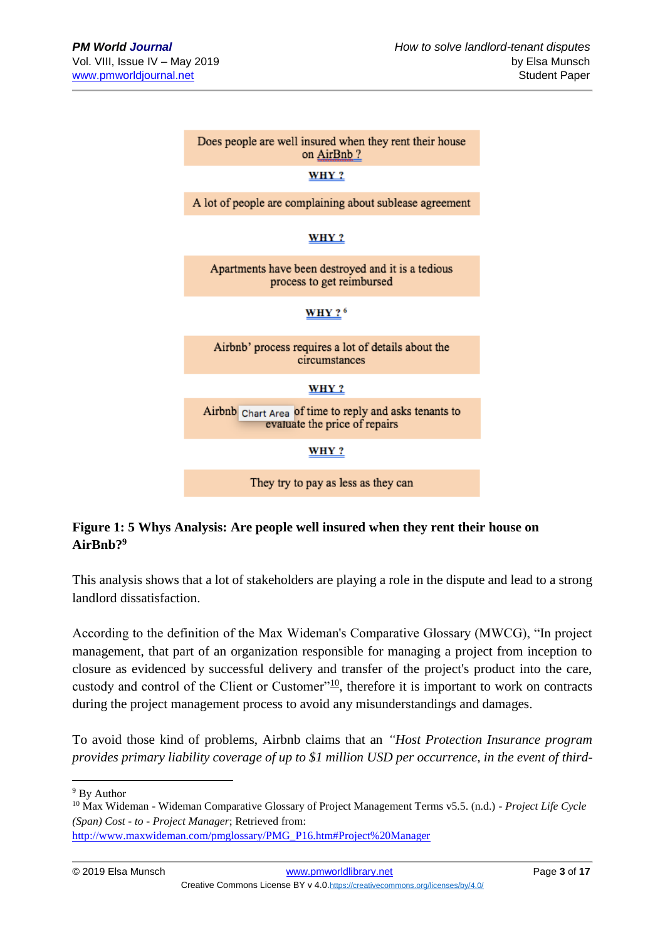

## **Figure 1: 5 Whys Analysis: Are people well insured when they rent their house on AirBnb? 9**

This analysis shows that a lot of stakeholders are playing a role in the dispute and lead to a strong landlord dissatisfaction.

According to the definition of the Max Wideman's Comparative Glossary (MWCG), "In project management, that part of an organization responsible for managing a project from inception to closure as evidenced by successful delivery and transfer of the project's product into the care, custody and control of the Client or Customer"<sup>[10](http://www.maxwideman.com/pmglossary/PMG_P16.htm#Project%20Manager)</sup>, therefore it is important to work on contracts during the project management process to avoid any misunderstandings and damages.

To avoid those kind of problems, Airbnb claims that an *"Host Protection Insurance program provides primary liability coverage of up to \$1 million USD per occurrence, in the event of third-*

```
http://www.maxwideman.com/pmglossary/PMG_P16.htm#Project%20Manager
```
<sup>&</sup>lt;sup>9</sup> By Author

<sup>10</sup> Max Wideman - Wideman Comparative Glossary of Project Management Terms v5.5. (n.d.) *- Project Life Cycle (Span) Cost - to - Project Manager*; Retrieved from: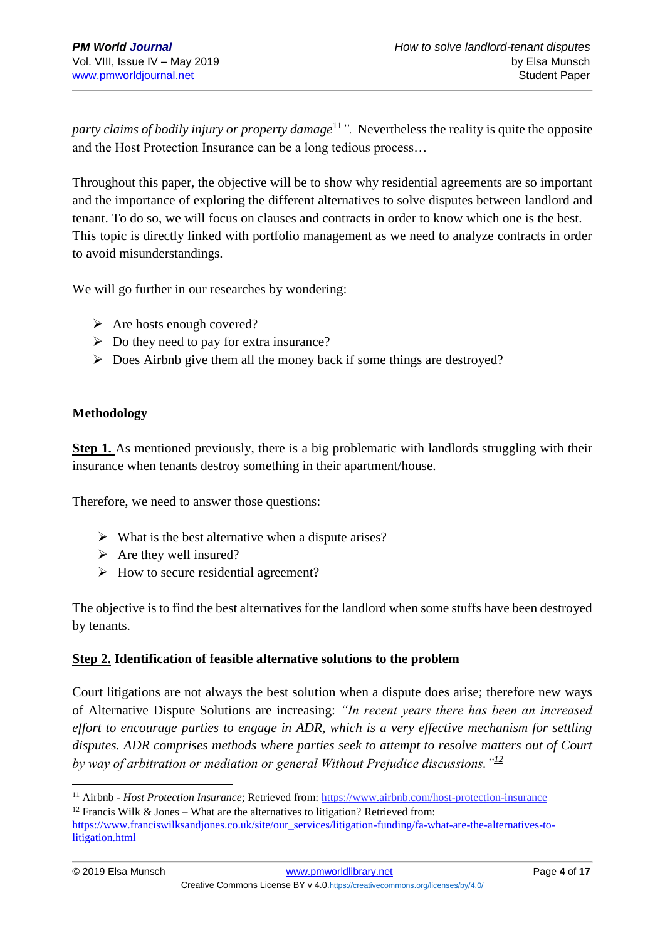*party claims of bodily injury or property damage*<sup>[11](https://www.airbnb.com/host-protection-insurance)</sup>. Nevertheless the reality is quite the opposite and the Host Protection Insurance can be a long tedious process…

Throughout this paper, the objective will be to show why residential agreements are so important and the importance of exploring the different alternatives to solve disputes between landlord and tenant. To do so, we will focus on clauses and contracts in order to know which one is the best. This topic is directly linked with portfolio management as we need to analyze contracts in order to avoid misunderstandings.

We will go further in our researches by wondering:

- ➢ Are hosts enough covered?
- $\triangleright$  Do they need to pay for extra insurance?
- ➢ Does Airbnb give them all the money back if some things are destroyed?

#### **Methodology**

**Step 1.** As mentioned previously, there is a big problematic with landlords struggling with their insurance when tenants destroy something in their apartment/house.

Therefore, we need to answer those questions:

- $\triangleright$  What is the best alternative when a dispute arises?
- $\triangleright$  Are they well insured?
- ➢ How to secure residential agreement?

The objective is to find the best alternatives for the landlord when some stuffs have been destroyed by tenants.

#### **Step 2. Identification of feasible alternative solutions to the problem**

Court litigations are not always the best solution when a dispute does arise; therefore new ways of Alternative Dispute Solutions are increasing: *"In recent years there has been an increased effort to encourage parties to engage in ADR, which is a very effective mechanism for settling disputes. ADR comprises methods where parties seek to attempt to resolve matters out of Court by way of arbitration or mediation or general Without Prejudice discussions."[12](https://www.franciswilksandjones.co.uk/site/our_services/litigation-funding/fa-what-are-the-alternatives-to-litigation.html)*

<u>.</u>

<sup>&</sup>lt;sup>11</sup> Airbnb - *Host Protection Insurance*; Retrieved from:<https://www.airbnb.com/host-protection-insurance>

<sup>&</sup>lt;sup>12</sup> Francis Wilk & Jones – What are the alternatives to litigation? Retrieved from:

[https://www.franciswilksandjones.co.uk/site/our\\_services/litigation-funding/fa-what-are-the-alternatives-to](https://www.franciswilksandjones.co.uk/site/our_services/litigation-funding/fa-what-are-the-alternatives-to-litigation.html)[litigation.html](https://www.franciswilksandjones.co.uk/site/our_services/litigation-funding/fa-what-are-the-alternatives-to-litigation.html)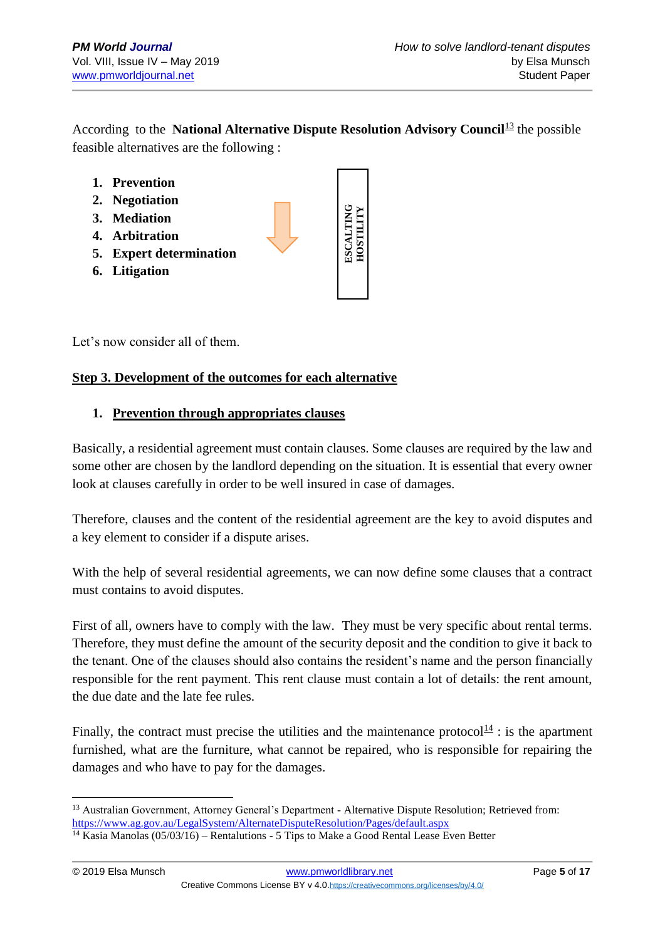According to the **National Alternative Dispute Resolution Advisory Council**<sup>[13](https://www.ag.gov.au/LegalSystem/AlternateDisputeResolution/Pages/default.aspx)</sup> the possible feasible alternatives are the following :



Let's now consider all of them.

#### **Step 3. Development of the outcomes for each alternative**

#### **1. Prevention through appropriates clauses**

Basically, a residential agreement must contain clauses. Some clauses are required by the law and some other are chosen by the landlord depending on the situation. It is essential that every owner look at clauses carefully in order to be well insured in case of damages.

Therefore, clauses and the content of the residential agreement are the key to avoid disputes and a key element to consider if a dispute arises.

With the help of several residential agreements, we can now define some clauses that a contract must contains to avoid disputes.

First of all, owners have to comply with the law. They must be very specific about rental terms. Therefore, they must define the amount of the security deposit and the condition to give it back to the tenant. One of the clauses should also contains the resident's name and the person financially responsible for the rent payment. This rent clause must contain a lot of details: the rent amount, the due date and the late fee rules.

Finally, the contract must precise the utilities and the maintenance protocol $\frac{14}{11}$  $\frac{14}{11}$  $\frac{14}{11}$ : is the apartment furnished, what are the furniture, what cannot be repaired, who is responsible for repairing the damages and who have to pay for the damages.

<sup>1</sup> <sup>13</sup> Australian Government, Attorney General's Department - Alternative Dispute Resolution; Retrieved from: <https://www.ag.gov.au/LegalSystem/AlternateDisputeResolution/Pages/default.aspx>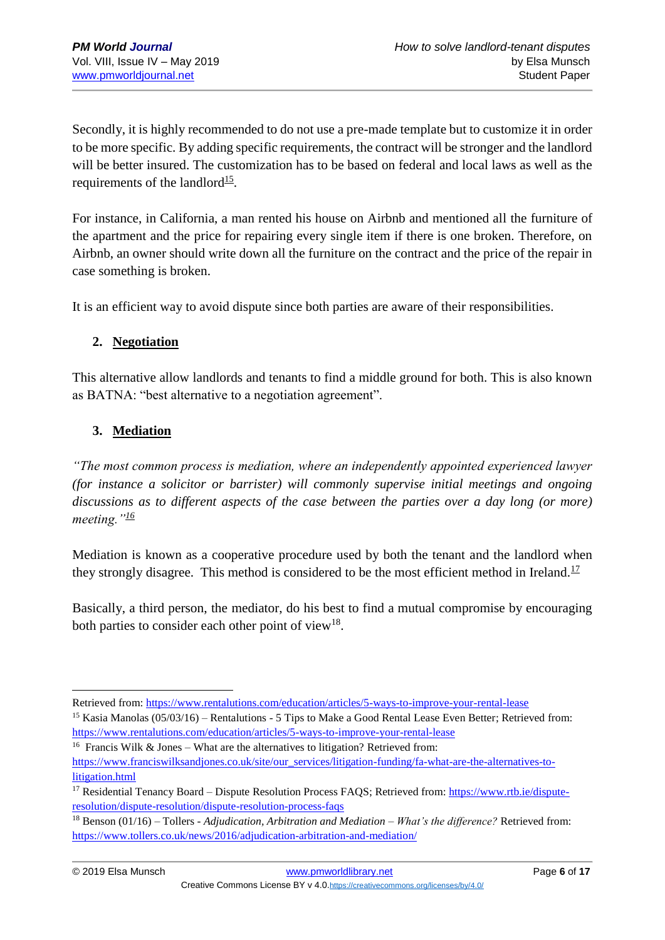Secondly, it is highly recommended to do not use a pre-made template but to customize it in order to be more specific. By adding specific requirements, the contract will be stronger and the landlord will be better insured. The customization has to be based on federal and local laws as well as the requirements of the landlord $15$ .

For instance, in California, a man rented his house on Airbnb and mentioned all the furniture of the apartment and the price for repairing every single item if there is one broken. Therefore, on Airbnb, an owner should write down all the furniture on the contract and the price of the repair in case something is broken.

It is an efficient way to avoid dispute since both parties are aware of their responsibilities.

#### **2. Negotiation**

This alternative allow landlords and tenants to find a middle ground for both. This is also known as BATNA: "best alternative to a negotiation agreement".

## **3. Mediation**

*"The most common process is mediation, where an independently appointed experienced lawyer (for instance a solicitor or barrister) will commonly supervise initial meetings and ongoing discussions as to different aspects of the case between the parties over a day long (or more) meeting."[16](https://www.franciswilksandjones.co.uk/site/our_services/litigation-funding/fa-what-are-the-alternatives-to-litigation.html)*

Mediation is known as a cooperative procedure used by both the tenant and the landlord when they strongly disagree. This method is considered to be the most efficient method in Ireland.<sup>[17](https://www.rtb.ie/dispute-resolution/dispute-resolution/dispute-resolution-process-faqs)</sup>

Basically, a third person, the mediator, do his best to find a mutual compromise by encouraging both parties to consider each other point of view<sup>[18](https://www.tollers.co.uk/news/2016/adjudication-arbitration-and-mediation/)</sup>.

Retrieved from:<https://www.rentalutions.com/education/articles/5-ways-to-improve-your-rental-lease>

<sup>&</sup>lt;sup>15</sup> Kasia Manolas (05/03/16) – Rentalutions - 5 Tips to Make a Good Rental Lease Even Better; Retrieved from: <https://www.rentalutions.com/education/articles/5-ways-to-improve-your-rental-lease>

<sup>&</sup>lt;sup>16</sup> Francis Wilk & Jones – What are the alternatives to litigation? Retrieved from:

[https://www.franciswilksandjones.co.uk/site/our\\_services/litigation-funding/fa-what-are-the-alternatives-to](https://www.franciswilksandjones.co.uk/site/our_services/litigation-funding/fa-what-are-the-alternatives-to-litigation.html)[litigation.html](https://www.franciswilksandjones.co.uk/site/our_services/litigation-funding/fa-what-are-the-alternatives-to-litigation.html)

<sup>&</sup>lt;sup>17</sup> Residential Tenancy Board – Dispute Resolution Process FAQS; Retrieved from: [https://www.rtb.ie/dispute](https://www.rtb.ie/dispute-resolution/dispute-resolution/dispute-resolution-process-faqs)[resolution/dispute-resolution/dispute-resolution-process-faqs](https://www.rtb.ie/dispute-resolution/dispute-resolution/dispute-resolution-process-faqs)

<sup>18</sup> Benson (01/16) – Tollers - *Adjudication, Arbitration and Mediation – What's the difference?* Retrieved from: <https://www.tollers.co.uk/news/2016/adjudication-arbitration-and-mediation/>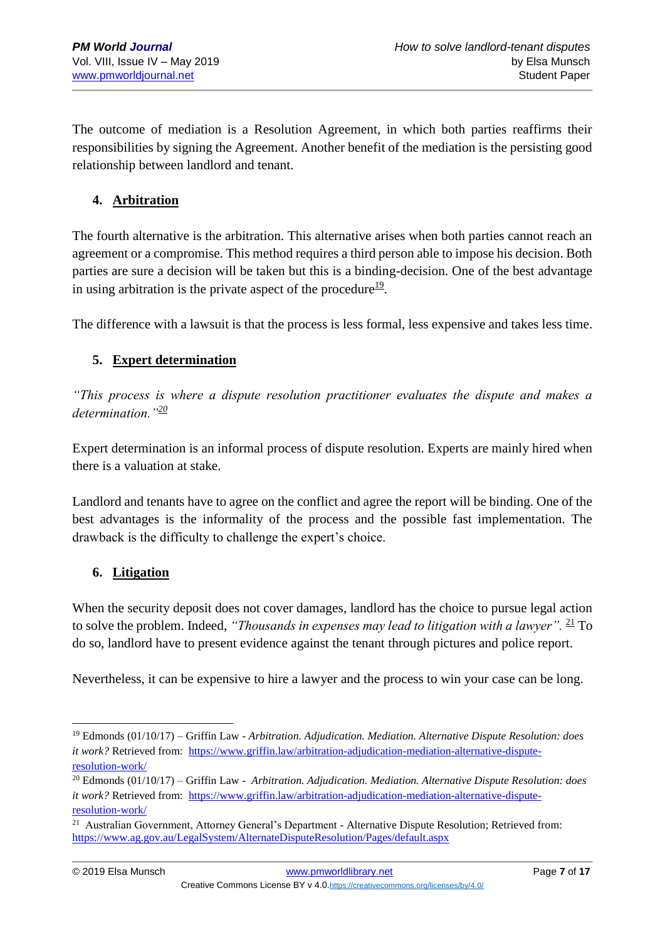The outcome of mediation is a Resolution Agreement, in which both parties reaffirms their responsibilities by signing the Agreement. Another benefit of the mediation is the persisting good relationship between landlord and tenant.

### **4. Arbitration**

The fourth alternative is the arbitration. This alternative arises when both parties cannot reach an agreement or a compromise. This method requires a third person able to impose his decision. Both parties are sure a decision will be taken but this is a binding-decision. One of the best advantage in using arbitration is the private aspect of the procedure $19$ .

The difference with a lawsuit is that the process is less formal, less expensive and takes less time.

#### **5. Expert determination**

*"This process is where a dispute resolution practitioner evaluates the dispute and makes a determination."[20](https://www.griffin.law/arbitration-adjudication-mediation-alternative-dispute-%20resolution-work/)*

Expert determination is an informal process of dispute resolution. Experts are mainly hired when there is a valuation at stake.

Landlord and tenants have to agree on the conflict and agree the report will be binding. One of the best advantages is the informality of the process and the possible fast implementation. The drawback is the difficulty to challenge the expert's choice.

#### **6. Litigation**

When the security deposit does not cover damages, landlord has the choice to pursue legal action to solve the problem. Indeed, *"Thousands in expenses may lead to litigation with a lawyer"*. <sup>[21](https://www.ag.gov.au/LegalSystem/AlternateDisputeResolution/Pages/default.aspx)</sup> To do so, landlord have to present evidence against the tenant through pictures and police report.

Nevertheless, it can be expensive to hire a lawyer and the process to win your case can be long.

<sup>19</sup> Edmonds (01/10/17) – Griffin Law - *Arbitration. Adjudication. Mediation. Alternative Dispute Resolution: does it work?* Retrieved from: [https://www.griffin.law/arbitration-adjudication-mediation-alternative-dispute](https://www.griffin.law/arbitration-adjudication-mediation-alternative-dispute-%20resolution-work/)[resolution-work/](https://www.griffin.law/arbitration-adjudication-mediation-alternative-dispute-%20resolution-work/)

<sup>20</sup> Edmonds (01/10/17) – Griffin Law - *Arbitration. Adjudication. Mediation. Alternative Dispute Resolution: does it work?* Retrieved from: [https://www.griffin.law/arbitration-adjudication-mediation-alternative-dispute](https://www.griffin.law/arbitration-adjudication-mediation-alternative-dispute-%20resolution-work/)[resolution-work/](https://www.griffin.law/arbitration-adjudication-mediation-alternative-dispute-%20resolution-work/)

<sup>&</sup>lt;sup>21</sup> Australian Government, Attorney General's Department - Alternative Dispute Resolution; Retrieved from: <https://www.ag.gov.au/LegalSystem/AlternateDisputeResolution/Pages/default.aspx>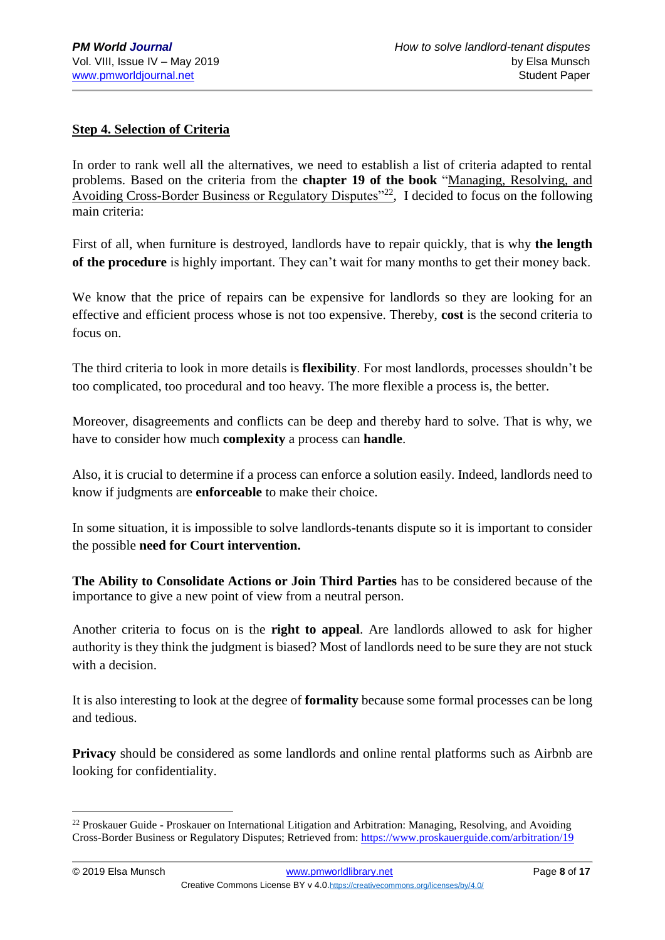#### **Step 4. Selection of Criteria**

In order to rank well all the alternatives, we need to establish a list of criteria adapted to rental problems. Based on the criteria from the **chapter 19 of the book** "Managing, Resolving, and Avoiding Cross-Border Business or Regulatory Disputes"[22](https://www.proskauerguide.com/arbitration/19), I decided to focus on the following main criteria:

First of all, when furniture is destroyed, landlords have to repair quickly, that is why **the length of the procedure** is highly important. They can't wait for many months to get their money back.

We know that the price of repairs can be expensive for landlords so they are looking for an effective and efficient process whose is not too expensive. Thereby, **cost** is the second criteria to focus on.

The third criteria to look in more details is **flexibility**. For most landlords, processes shouldn't be too complicated, too procedural and too heavy. The more flexible a process is, the better.

Moreover, disagreements and conflicts can be deep and thereby hard to solve. That is why, we have to consider how much **complexity** a process can **handle**.

Also, it is crucial to determine if a process can enforce a solution easily. Indeed, landlords need to know if judgments are **enforceable** to make their choice.

In some situation, it is impossible to solve landlords-tenants dispute so it is important to consider the possible **need for Court intervention.**

**The Ability to Consolidate Actions or Join Third Parties** has to be considered because of the importance to give a new point of view from a neutral person.

Another criteria to focus on is the **right to appeal**. Are landlords allowed to ask for higher authority is they think the judgment is biased? Most of landlords need to be sure they are not stuck with a decision.

It is also interesting to look at the degree of **formality** because some formal processes can be long and tedious.

**Privacy** should be considered as some landlords and online rental platforms such as Airbnb are looking for confidentiality.

<u>.</u>

<sup>&</sup>lt;sup>22</sup> Proskauer Guide - Proskauer on International Litigation and Arbitration: Managing, Resolving, and Avoiding Cross-Border Business or Regulatory Disputes; Retrieved from:<https://www.proskauerguide.com/arbitration/19>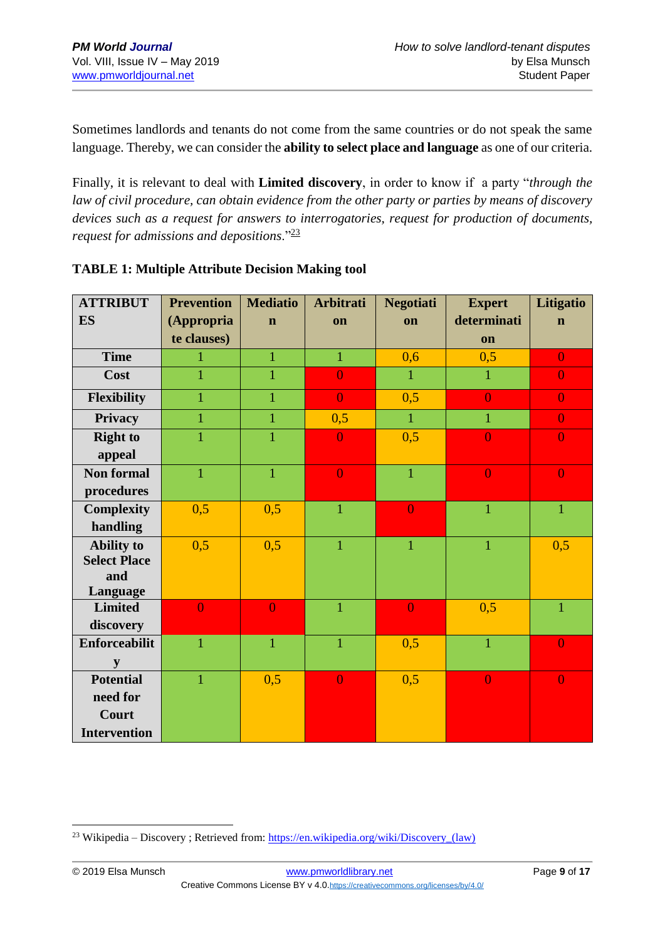Sometimes landlords and tenants do not come from the same countries or do not speak the same language. Thereby, we can consider the **ability to select place and language** as one of our criteria.

Finally, it is relevant to deal with **Limited discovery**, in order to know if a party "*through the law of civil procedure, can obtain evidence from the other party or parties by means of discovery devices such as a request for answers to interrogatories, request for production of documents, request for admissions and depositions*."[23](https://en.wikipedia.org/wiki/Discovery_(law))

| <b>ATTRIBUT</b>            | <b>Prevention</b> | <b>Mediatio</b><br><b>Arbitrati</b> |                | <b>Negotiati</b>  | <b>Expert</b>  | Litigatio      |
|----------------------------|-------------------|-------------------------------------|----------------|-------------------|----------------|----------------|
| <b>ES</b>                  | (Appropria        | $\mathbf n$                         | on             | on                | determinati    | $\mathbf n$    |
|                            | te clauses)       |                                     |                |                   | on             |                |
| <b>Time</b>                |                   | $\mathbf{1}$                        | $\mathbf{1}$   | 0,6               | 0,5            | $\overline{0}$ |
| Cost                       | $\mathbf{1}$      | 1                                   | $\overline{0}$ | 1                 | 1              | $\overline{0}$ |
| Flexibility                | $\mathbf{1}$      | $\mathbf{1}$                        | $\overline{0}$ | 0,5               | $\overline{0}$ | $\overline{0}$ |
| <b>Privacy</b>             | $\mathbf{1}$      | $\mathbf{1}$                        | 0,5            | $\mathbf{1}$<br>1 |                | $\overline{0}$ |
| <b>Right to</b>            | $\overline{1}$    | $\mathbf{1}$                        | $\overline{0}$ | 0,5               | $\overline{0}$ | $\overline{0}$ |
| appeal                     |                   |                                     |                |                   |                |                |
| <b>Non formal</b>          | $\overline{1}$    | $\mathbf{1}$                        | $\overline{0}$ | $\overline{1}$    | $\overline{0}$ | $\overline{0}$ |
| procedures                 |                   |                                     |                |                   |                |                |
| <b>Complexity</b>          | 0,5               | 0,5                                 | $\mathbf{1}$   | $\overline{0}$    | $\mathbf{1}$   | $\mathbf{1}$   |
| handling                   |                   |                                     |                |                   |                |                |
| <b>Ability to</b>          | 0,5               | 0,5                                 | $\overline{1}$ | $\mathbf{1}$      | $\mathbf{1}$   | 0,5            |
| <b>Select Place</b>        |                   |                                     |                |                   |                |                |
| and                        |                   |                                     |                |                   |                |                |
| Language<br><b>Limited</b> | $\overline{0}$    | $\overline{0}$                      | $\mathbf{1}$   | $\overline{0}$    | 0,5            | $\overline{1}$ |
| discovery                  |                   |                                     |                |                   |                |                |
| <b>Enforceabilit</b>       | $\overline{1}$    | $\overline{1}$                      | $\mathbf{1}$   | 0,5               | $\overline{1}$ | $\overline{0}$ |
| y                          |                   |                                     |                |                   |                |                |
| <b>Potential</b>           | $\mathbf{1}$      | 0,5                                 | $\overline{0}$ | 0,5               | $\overline{0}$ | $\overline{0}$ |
| need for                   |                   |                                     |                |                   |                |                |
| Court                      |                   |                                     |                |                   |                |                |
| <b>Intervention</b>        |                   |                                     |                |                   |                |                |

#### **TABLE 1: Multiple Attribute Decision Making tool**

<sup>&</sup>lt;sup>23</sup> Wikipedia – Discovery ; Retrieved from: https://en.wikipedia.org/wiki/Discovery (law)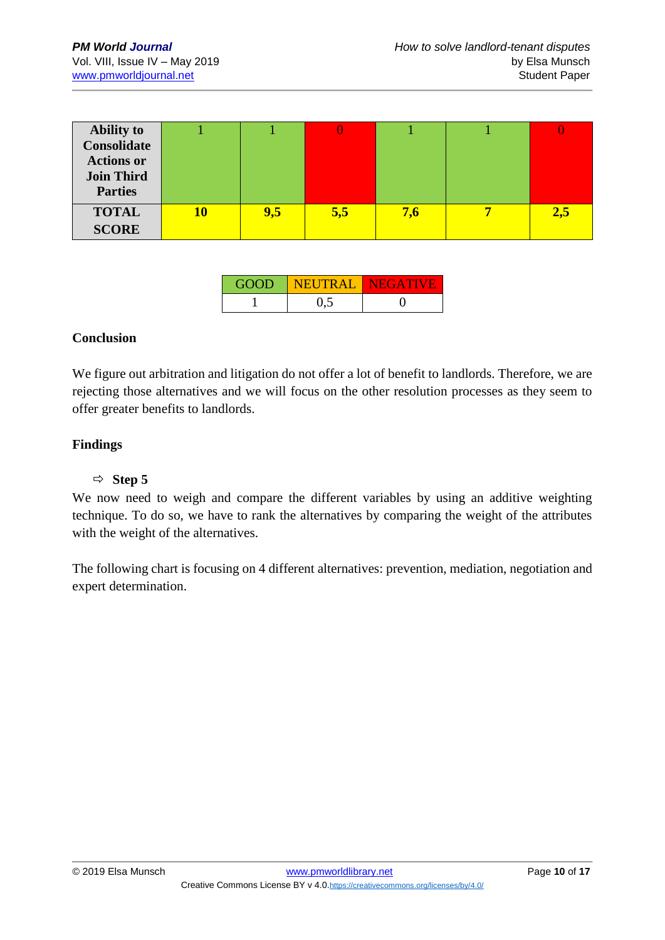| <b>Ability to</b>  |    |     |     |     |     |
|--------------------|----|-----|-----|-----|-----|
| <b>Consolidate</b> |    |     |     |     |     |
| <b>Actions or</b>  |    |     |     |     |     |
| <b>Join Third</b>  |    |     |     |     |     |
| <b>Parties</b>     |    |     |     |     |     |
| <b>TOTAL</b>       | 10 | 9,5 | 5,5 | 7,6 | 2,5 |
| <b>SCORE</b>       |    |     |     |     |     |

| <b>GOOD</b> | I NEUTRAL I NEGATIVE |  |
|-------------|----------------------|--|
|             | 0.5                  |  |

#### **Conclusion**

We figure out arbitration and litigation do not offer a lot of benefit to landlords. Therefore, we are rejecting those alternatives and we will focus on the other resolution processes as they seem to offer greater benefits to landlords.

#### **Findings**

#### $\Rightarrow$  **Step 5**

We now need to weigh and compare the different variables by using an additive weighting technique. To do so, we have to rank the alternatives by comparing the weight of the attributes with the weight of the alternatives.

The following chart is focusing on 4 different alternatives: prevention, mediation, negotiation and expert determination.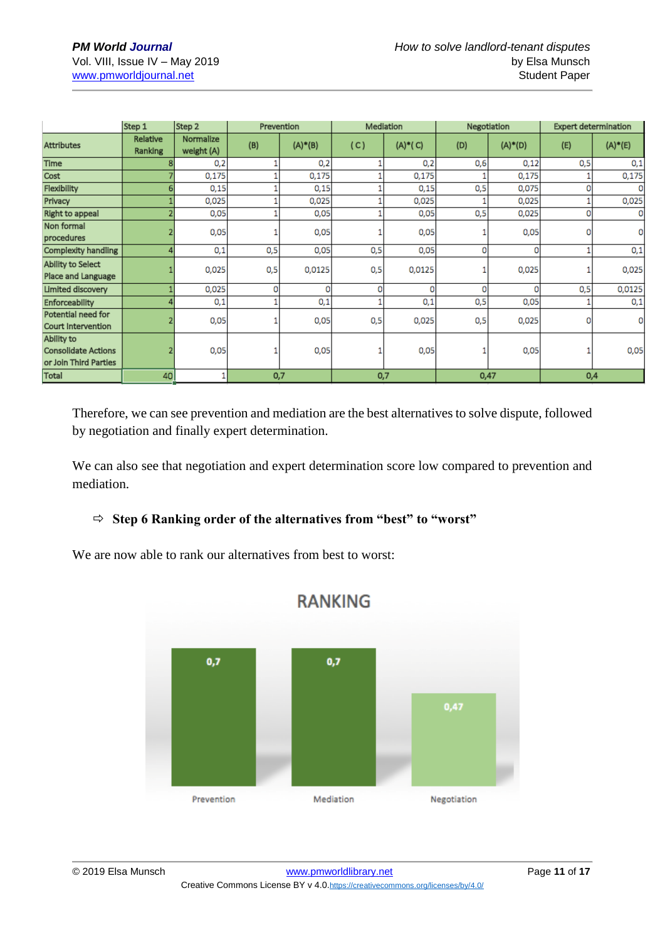|                                                                   | Step 1              | Step 2                  | Prevention |            | Mediation |           | Negotiation |           | <b>Expert determination</b> |            |
|-------------------------------------------------------------------|---------------------|-------------------------|------------|------------|-----------|-----------|-------------|-----------|-----------------------------|------------|
| <b>Attributes</b>                                                 | Relative<br>Ranking | Normalize<br>weight (A) | (B)        | $(A)* (B)$ | (C)       | $(A)*(C)$ | (D)         | $(A)*(D)$ | (E)                         | $(A)*E(E)$ |
| Time                                                              |                     | 0,2                     |            | 0,2        |           | 0,2       | 0,6         | 0,12      | 0,5                         | 0,1        |
| Cost                                                              |                     | 0,175                   |            | 0,175      |           | 0,175     |             | 0,175     |                             | 0,175      |
| Flexibility                                                       |                     | 0,15                    |            | 0,15       |           | 0,15      | 0,5         | 0,075     |                             |            |
| Privacy                                                           |                     | 0,025                   |            | 0,025      |           | 0,025     |             | 0,025     |                             | 0,025      |
| Right to appeal                                                   |                     | 0,05                    |            | 0,05       |           | 0,05      | 0,5         | 0,025     | 0                           |            |
| Non formal<br>procedures                                          |                     | 0,05                    |            | 0,05       |           | 0,05      |             | 0,05      |                             |            |
| <b>Complexity handling</b>                                        |                     | 0,1                     | 0,5        | 0,05       | 0,5       | 0,05      | 0           | O         |                             | 0,1        |
| Ability to Select<br>Place and Language                           |                     | 0,025                   | 0,5        | 0,0125     | 0,5       | 0,0125    |             | 0,025     |                             | 0,025      |
| Limited discovery                                                 |                     | 0,025                   | 0          | 0          | 0         | 0         | 0           | n         | 0,5                         | 0,0125     |
| Enforceability                                                    |                     | 0,1                     |            | 0,1        |           | 0,1       | 0,5         | 0,05      |                             | 0,1        |
| Potential need for<br>Court Intervention                          |                     | 0,05                    |            | 0,05       | 0,5       | 0,025     | 0,5         | 0,025     | o                           |            |
| Ability to<br><b>Consolidate Actions</b><br>or Join Third Parties |                     | 0,05                    |            | 0,05       |           | 0,05      |             | 0,05      |                             | 0,05       |
| Total                                                             | 40                  |                         | 0,7        |            | 0,7       |           | 0,47        |           | 0,4                         |            |

Therefore, we can see prevention and mediation are the best alternatives to solve dispute, followed by negotiation and finally expert determination.

We can also see that negotiation and expert determination score low compared to prevention and mediation.

#### **Step 6 Ranking order of the alternatives from "best" to "worst"**

We are now able to rank our alternatives from best to worst:

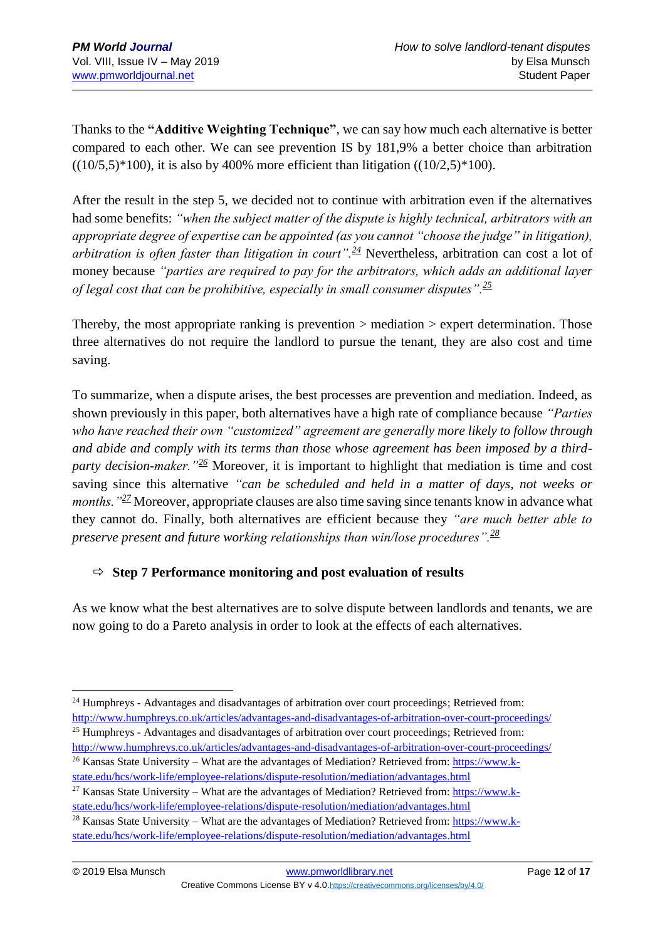Thanks to the **"Additive Weighting Technique"**, we can say how much each alternative is better compared to each other. We can see prevention IS by 181,9% a better choice than arbitration  $((10/5,5) * 100)$ , it is also by 400% more efficient than litigation  $((10/2,5) * 100)$ .

After the result in the step 5, we decided not to continue with arbitration even if the alternatives had some benefits: *"when the subject matter of the dispute is highly technical, arbitrators with an appropriate degree of expertise can be appointed (as you cannot "choose the judge" in litigation), arbitration is often faster than litigation in court".[24](http://www.humphreys.co.uk/articles/advantages-and-disadvantages-of-arbitration-over-court-proceedings/)* Nevertheless, arbitration can cost a lot of money because *"parties are required to pay for the arbitrators, which adds an additional layer of legal cost that can be prohibitive, especially in small consumer disputes".[25](http://www.humphreys.co.uk/articles/advantages-and-disadvantages-of-arbitration-over-court-proceedings/)*

Thereby, the most appropriate ranking is prevention > mediation > expert determination. Those three alternatives do not require the landlord to pursue the tenant, they are also cost and time saving.

To summarize, when a dispute arises, the best processes are prevention and mediation. Indeed, as shown previously in this paper, both alternatives have a high rate of compliance because *"Parties who have reached their own "customized" agreement are generally more likely to follow through and abide and comply with its terms than those whose agreement has been imposed by a thirdparty decision-maker."[26](https://www.k-state.edu/hcs/work-life/employee-relations/dispute-resolution/mediation/advantages.html)* Moreover, it is important to highlight that mediation is time and cost saving since this alternative *"can be scheduled and held in a matter of days, not weeks or months.*"<sup>[27](https://www.k-state.edu/hcs/work-life/employee-relations/dispute-resolution/mediation/advantages.html)</sup> Moreover, appropriate clauses are also time saving since tenants know in advance what they cannot do. Finally, both alternatives are efficient because they *"are much better able to preserve present and future working relationships than win/lose procedures".[28](https://www.k-state.edu/hcs/work-life/employee-relations/dispute-resolution/mediation/advantages.html)*

#### $\Rightarrow$  Step 7 Performance monitoring and post evaluation of results

As we know what the best alternatives are to solve dispute between landlords and tenants, we are now going to do a Pareto analysis in order to look at the effects of each alternatives.

<sup>1</sup> <sup>24</sup> Humphreys - Advantages and disadvantages of arbitration over court proceedings; Retrieved from: <http://www.humphreys.co.uk/articles/advantages-and-disadvantages-of-arbitration-over-court-proceedings/>

<sup>&</sup>lt;sup>25</sup> Humphreys - Advantages and disadvantages of arbitration over court proceedings; Retrieved from: <http://www.humphreys.co.uk/articles/advantages-and-disadvantages-of-arbitration-over-court-proceedings/>

<sup>26</sup> Kansas State University – What are the advantages of Mediation? Retrieved from: [https://www.k](https://www.k-state.edu/hcs/work-life/employee-relations/dispute-resolution/mediation/advantages.html)[state.edu/hcs/work-life/employee-relations/dispute-resolution/mediation/advantages.html](https://www.k-state.edu/hcs/work-life/employee-relations/dispute-resolution/mediation/advantages.html)

<sup>&</sup>lt;sup>27</sup> Kansas State University – What are the advantages of Mediation? Retrieved from: [https://www.k](https://www.k-state.edu/hcs/work-life/employee-relations/dispute-resolution/mediation/advantages.html)[state.edu/hcs/work-life/employee-relations/dispute-resolution/mediation/advantages.html](https://www.k-state.edu/hcs/work-life/employee-relations/dispute-resolution/mediation/advantages.html)

<sup>&</sup>lt;sup>28</sup> Kansas State University – What are the advantages of Mediation? Retrieved from: [https://www.k](https://www.k-state.edu/hcs/work-life/employee-relations/dispute-resolution/mediation/advantages.html)[state.edu/hcs/work-life/employee-relations/dispute-resolution/mediation/advantages.html](https://www.k-state.edu/hcs/work-life/employee-relations/dispute-resolution/mediation/advantages.html)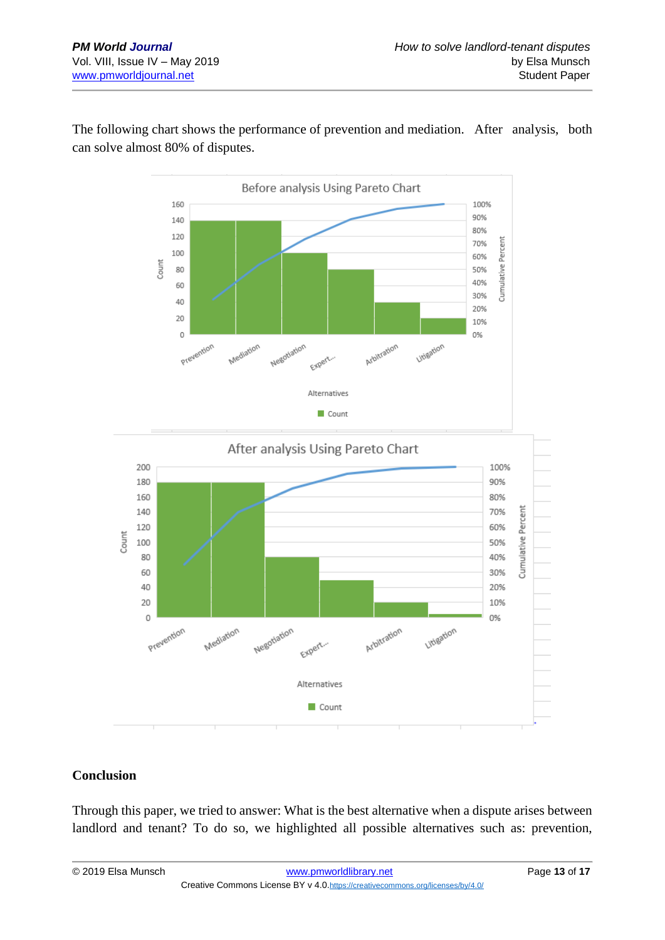

The following chart shows the performance of prevention and mediation. After analysis, both can solve almost 80% of disputes.



#### **Conclusion**

Through this paper, we tried to answer: What is the best alternative when a dispute arises between landlord and tenant? To do so, we highlighted all possible alternatives such as: prevention,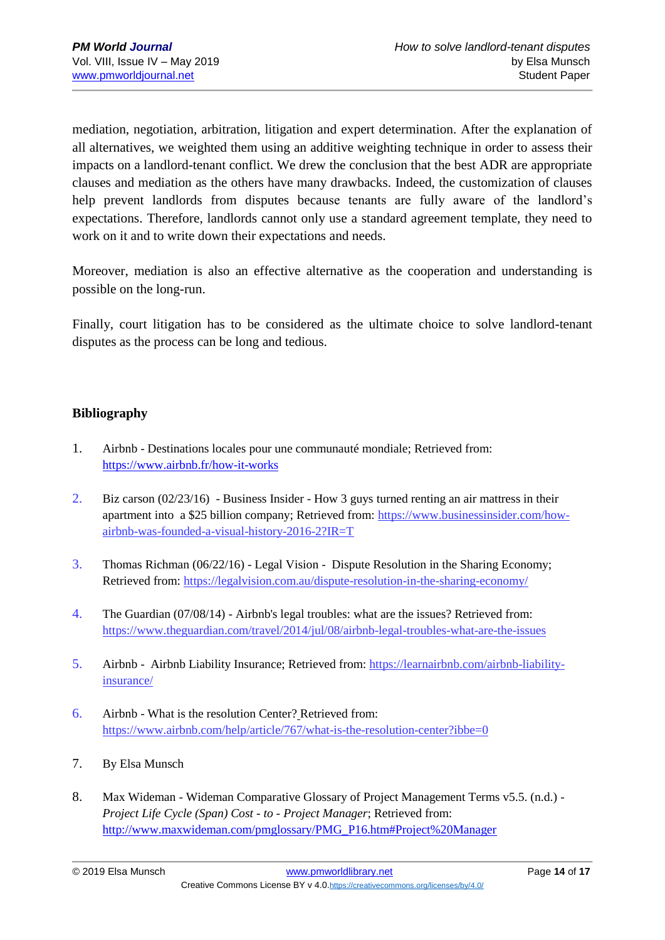mediation, negotiation, arbitration, litigation and expert determination. After the explanation of all alternatives, we weighted them using an additive weighting technique in order to assess their impacts on a landlord-tenant conflict. We drew the conclusion that the best ADR are appropriate clauses and mediation as the others have many drawbacks. Indeed, the customization of clauses help prevent landlords from disputes because tenants are fully aware of the landlord's expectations. Therefore, landlords cannot only use a standard agreement template, they need to work on it and to write down their expectations and needs.

Moreover, mediation is also an effective alternative as the cooperation and understanding is possible on the long-run.

Finally, court litigation has to be considered as the ultimate choice to solve landlord-tenant disputes as the process can be long and tedious.

#### **Bibliography**

- 1. Airbnb Destinations locales pour une communauté mondiale; Retrieved from: <https://www.airbnb.fr/how-it-works>
- 2. Biz carson (02/23/16) Business Insider How 3 guys turned renting an air mattress in their apartment into a \$25 billion company; Retrieved from: [https://www.businessinsider.com/how](https://www.businessinsider.com/how-airbnb-was-founded-a-visual-history-2016-2?IR=T)[airbnb-was-founded-a-visual-history-2016-2?IR=T](https://www.businessinsider.com/how-airbnb-was-founded-a-visual-history-2016-2?IR=T)
- 3. Thomas Richman (06/22/16) Legal Vision Dispute Resolution in the Sharing Economy; Retrieved from:<https://legalvision.com.au/dispute-resolution-in-the-sharing-economy/>
- 4. The Guardian (07/08/14) Airbnb's legal troubles: what are the issues? Retrieved from: <https://www.theguardian.com/travel/2014/jul/08/airbnb-legal-troubles-what-are-the-issues>
- 5. Airbnb Airbnb Liability Insurance; Retrieved from: [https://learnairbnb.com/airbnb-liability](https://learnairbnb.com/airbnb-liability-insurance/)[insurance/](https://learnairbnb.com/airbnb-liability-insurance/)
- 6. Airbnb What is the resolution Center? Retrieved from: <https://www.airbnb.com/help/article/767/what-is-the-resolution-center?ibbe=0>
- 7. By Elsa Munsch
- 8. Max Wideman Wideman Comparative Glossary of Project Management Terms v5.5. (n.d.) *- Project Life Cycle (Span) Cost - to - Project Manager*; Retrieved from: [http://www.maxwideman.com/pmglossary/PMG\\_P16.htm#Project%20Manager](http://www.maxwideman.com/pmglossary/PMG_P16.htm#Project%20Manager)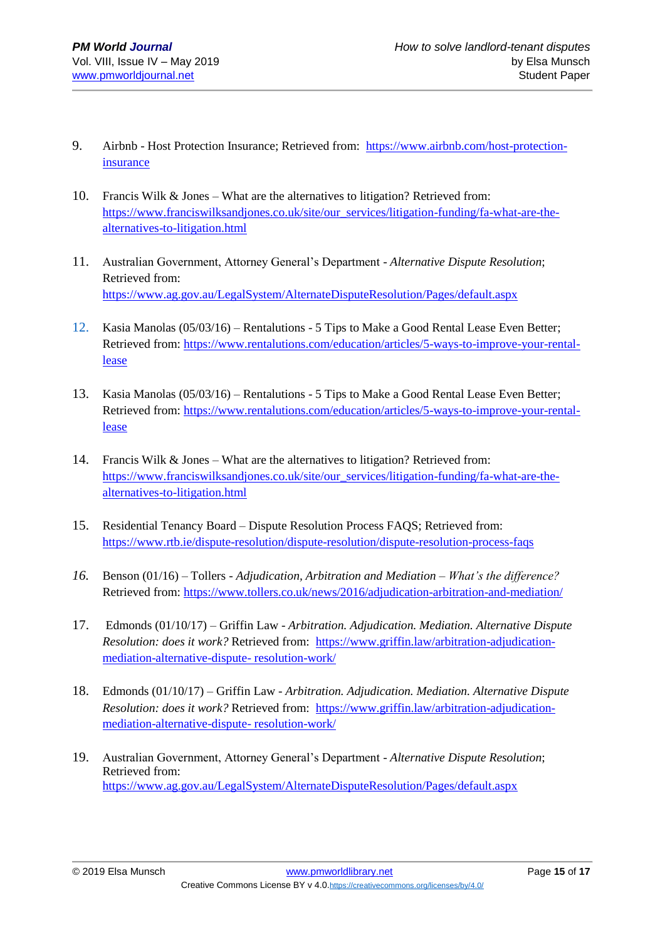- 9. Airbnb Host Protection Insurance; Retrieved from: [https://www.airbnb.com/host-protection](https://www.airbnb.com/host-protection-insurance)[insurance](https://www.airbnb.com/host-protection-insurance)
- 10. Francis Wilk & Jones What are the alternatives to litigation? Retrieved from: [https://www.franciswilksandjones.co.uk/site/our\\_services/litigation-funding/fa-what-are-the](https://www.franciswilksandjones.co.uk/site/our_services/litigation-funding/fa-what-are-the-alternatives-to-litigation.html)[alternatives-to-litigation.html](https://www.franciswilksandjones.co.uk/site/our_services/litigation-funding/fa-what-are-the-alternatives-to-litigation.html)
- 11. Australian Government, Attorney General's Department *Alternative Dispute Resolution*; Retrieved from: <https://www.ag.gov.au/LegalSystem/AlternateDisputeResolution/Pages/default.aspx>
- 12. Kasia Manolas (05/03/16) Rentalutions 5 Tips to Make a Good Rental Lease Even Better; Retrieved from: [https://www.rentalutions.com/education/articles/5-ways-to-improve-your-rental](https://www.rentalutions.com/education/articles/5-ways-to-improve-your-rental-lease)[lease](https://www.rentalutions.com/education/articles/5-ways-to-improve-your-rental-lease)
- 13. Kasia Manolas (05/03/16) Rentalutions 5 Tips to Make a Good Rental Lease Even Better; Retrieved from: [https://www.rentalutions.com/education/articles/5-ways-to-improve-your-rental](https://www.rentalutions.com/education/articles/5-ways-to-improve-your-rental-lease)[lease](https://www.rentalutions.com/education/articles/5-ways-to-improve-your-rental-lease)
- 14. Francis Wilk & Jones What are the alternatives to litigation? Retrieved from: [https://www.franciswilksandjones.co.uk/site/our\\_services/litigation-funding/fa-what-are-the](https://www.franciswilksandjones.co.uk/site/our_services/litigation-funding/fa-what-are-the-alternatives-to-litigation.html)[alternatives-to-litigation.html](https://www.franciswilksandjones.co.uk/site/our_services/litigation-funding/fa-what-are-the-alternatives-to-litigation.html)
- 15. Residential Tenancy Board Dispute Resolution Process FAQS; Retrieved from: <https://www.rtb.ie/dispute-resolution/dispute-resolution/dispute-resolution-process-faqs>
- *16.* Benson (01/16) Tollers *Adjudication, Arbitration and Mediation – What's the difference?* Retrieved from:<https://www.tollers.co.uk/news/2016/adjudication-arbitration-and-mediation/>
- 17. Edmonds (01/10/17) Griffin Law *Arbitration. Adjudication. Mediation. Alternative Dispute Resolution: does it work?* Retrieved from: [https://www.griffin.law/arbitration-adjudication](https://www.griffin.law/arbitration-adjudication-mediation-alternative-dispute-%20resolution-work/)[mediation-alternative-dispute-](https://www.griffin.law/arbitration-adjudication-mediation-alternative-dispute-%20resolution-work/) resolution-work/
- 18. Edmonds (01/10/17) Griffin Law *Arbitration. Adjudication. Mediation. Alternative Dispute Resolution: does it work?* Retrieved from: [https://www.griffin.law/arbitration-adjudication](https://www.griffin.law/arbitration-adjudication-mediation-alternative-dispute-%20resolution-work/)[mediation-alternative-dispute-](https://www.griffin.law/arbitration-adjudication-mediation-alternative-dispute-%20resolution-work/) resolution-work/
- 19. Australian Government, Attorney General's Department *Alternative Dispute Resolution*; Retrieved from: <https://www.ag.gov.au/LegalSystem/AlternateDisputeResolution/Pages/default.aspx>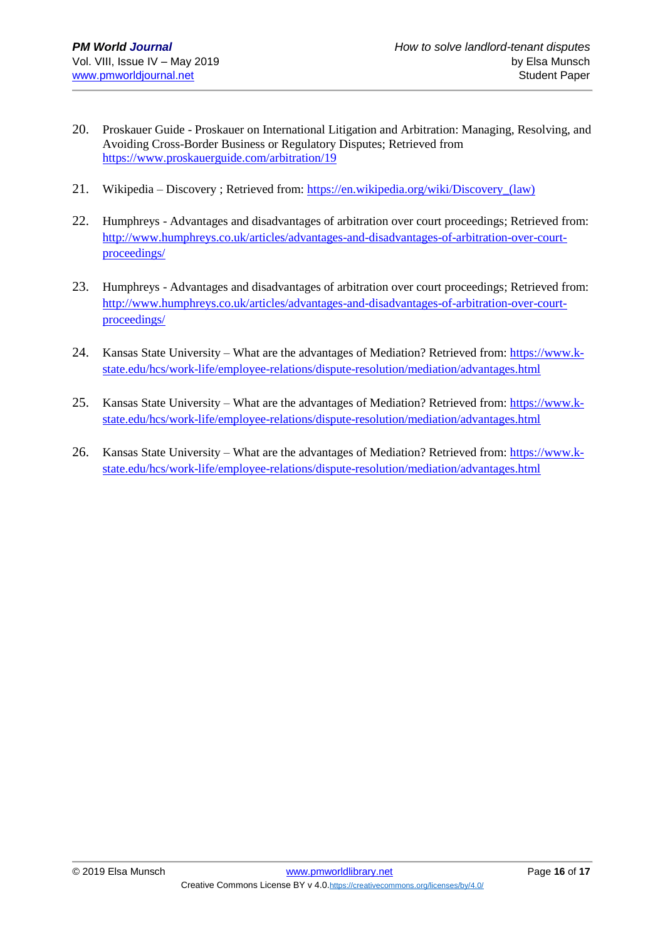- 20. Proskauer Guide Proskauer on International Litigation and Arbitration: Managing, Resolving, and Avoiding Cross-Border Business or Regulatory Disputes; Retrieved from <https://www.proskauerguide.com/arbitration/19>
- 21. Wikipedia Discovery ; Retrieved from: [https://en.wikipedia.org/wiki/Discovery\\_\(law\)](https://en.wikipedia.org/wiki/Discovery_(law))
- 22. Humphreys Advantages and disadvantages of arbitration over court proceedings; Retrieved from: [http://www.humphreys.co.uk/articles/advantages-and-disadvantages-of-arbitration-over-court](http://www.humphreys.co.uk/articles/advantages-and-disadvantages-of-arbitration-over-court-proceedings/)[proceedings/](http://www.humphreys.co.uk/articles/advantages-and-disadvantages-of-arbitration-over-court-proceedings/)
- 23. Humphreys Advantages and disadvantages of arbitration over court proceedings; Retrieved from: [http://www.humphreys.co.uk/articles/advantages-and-disadvantages-of-arbitration-over-court](http://www.humphreys.co.uk/articles/advantages-and-disadvantages-of-arbitration-over-court-proceedings/)[proceedings/](http://www.humphreys.co.uk/articles/advantages-and-disadvantages-of-arbitration-over-court-proceedings/)
- 24. Kansas State University What are the advantages of Mediation? Retrieved from[: https://www.k](https://www.k-state.edu/hcs/work-life/employee-relations/dispute-resolution/mediation/advantages.html)[state.edu/hcs/work-life/employee-relations/dispute-resolution/mediation/advantages.html](https://www.k-state.edu/hcs/work-life/employee-relations/dispute-resolution/mediation/advantages.html)
- 25. Kansas State University What are the advantages of Mediation? Retrieved from[: https://www.k](https://www.k-state.edu/hcs/work-life/employee-relations/dispute-resolution/mediation/advantages.html)[state.edu/hcs/work-life/employee-relations/dispute-resolution/mediation/advantages.html](https://www.k-state.edu/hcs/work-life/employee-relations/dispute-resolution/mediation/advantages.html)
- 26. Kansas State University What are the advantages of Mediation? Retrieved from[: https://www.k](https://www.k-state.edu/hcs/work-life/employee-relations/dispute-resolution/mediation/advantages.html)[state.edu/hcs/work-life/employee-relations/dispute-resolution/mediation/advantages.html](https://www.k-state.edu/hcs/work-life/employee-relations/dispute-resolution/mediation/advantages.html)